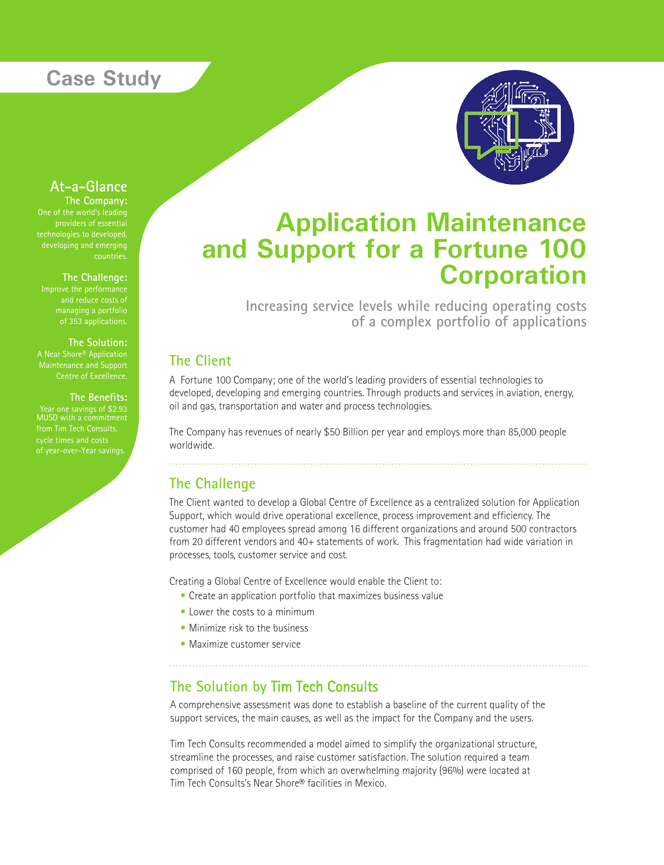## **Case Study**



### **At-a-Glance**

**The Company:** countries. **The Company:** One of the world's leading developing and emerging

**The Challenge:** 

ve the performance<br>and reduce costs of managing a portfolio  $q_{\text{ref}}$  software, and  $q_{\text{ref}}$  and  $q_{\text{ref}}$ of 353 applications.

**The Solution: The Solution:** Maintenance and Support

**The Benefits: The Benefits:**  $A_n$  is the solution of  $2002$ Year one savings of \$2.93<br>MUSD with a commitment MUSD with a commitment from Tim Tech Consults. cycle times and costs

# **Application Maintenance and Support for a Fortune 100 Corporation**

**Increasing service levels while reducing operating costs of a complex portfolio of applications**

#### **The Client**

A Fortune 100 Company; one of the world's leading providers of essential technologies to developed, developing and emerging countries. Through products and services in aviation, energy, oil and gas, transportation and water and process technologies.

The Company has revenues of nearly \$50 Billion per year and employs more than 85,000 people worldwide.

#### **The Challenge**

The Client wanted to develop a Global Centre of Excellence as a centralized solution for Application Support, which would drive operational excellence, process improvement and efficiency. The customer had 40 employees spread among 16 different organizations and around 500 contractors from 20 different vendors and 40+ statements of work. This fragmentation had wide variation in processes, tools, customer service and cost.

Creating a Global Centre of Excellence would enable the Client to:

- Create an application portfolio that maximizes business value
- Lower the costs to a minimum
- Minimize risk to the business
- Maximize customer service

#### **The Solution by** Tim Tech Consults

A comprehensive assessment was done to establish a baseline of the current quality of the support services, the main causes, as well as the impact for the Company and the users.

Tim Tech Consults recommended a model aimed to simplify the organizational structure, streamline the processes, and raise customer satisfaction. The solution required a team comprised of 160 people, from which an overwhelming majority (96%) were located at Tim Tech Consults's Near Shore® facilities in Mexico.